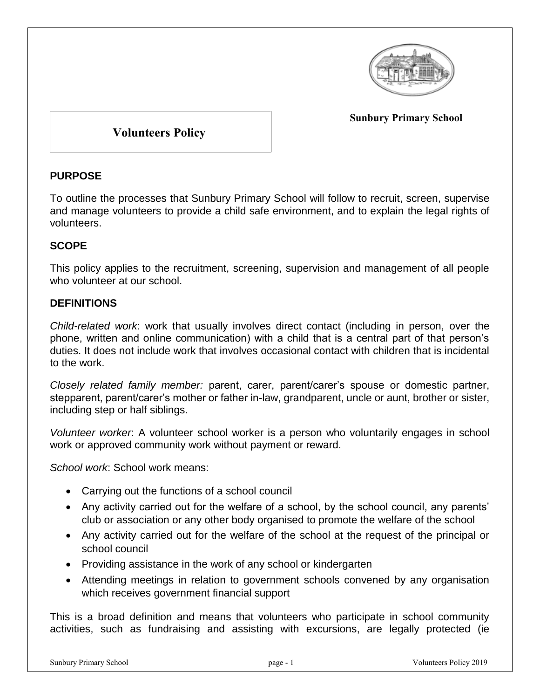

**Sunbury Primary School**

# **Volunteers Policy**

### **PURPOSE**

To outline the processes that Sunbury Primary School will follow to recruit, screen, supervise and manage volunteers to provide a child safe environment, and to explain the legal rights of volunteers.

## **SCOPE**

This policy applies to the recruitment, screening, supervision and management of all people who volunteer at our school.

### **DEFINITIONS**

*Child-related work*: work that usually involves direct contact (including in person, over the phone, written and online communication) with a child that is a central part of that person's duties. It does not include work that involves occasional contact with children that is incidental to the work.

*Closely related family member:* parent, carer, parent/carer's spouse or domestic partner, stepparent, parent/carer's mother or father in-law, grandparent, uncle or aunt, brother or sister, including step or half siblings.

*Volunteer worker*: A volunteer school worker is a person who voluntarily engages in school work or approved community work without payment or reward.

*School work*: School work means:

- Carrying out the functions of a school council
- Any activity carried out for the welfare of a school, by the school council, any parents' club or association or any other body organised to promote the welfare of the school
- Any activity carried out for the welfare of the school at the request of the principal or school council
- Providing assistance in the work of any school or kindergarten
- Attending meetings in relation to government schools convened by any organisation which receives government financial support

This is a broad definition and means that volunteers who participate in school community activities, such as fundraising and assisting with excursions, are legally protected (ie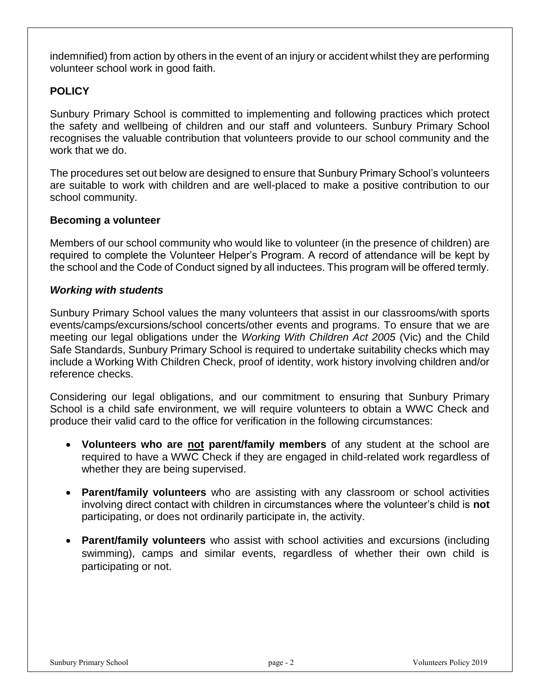indemnified) from action by others in the event of an injury or accident whilst they are performing volunteer school work in good faith.

## **POLICY**

Sunbury Primary School is committed to implementing and following practices which protect the safety and wellbeing of children and our staff and volunteers. Sunbury Primary School recognises the valuable contribution that volunteers provide to our school community and the work that we do.

The procedures set out below are designed to ensure that Sunbury Primary School's volunteers are suitable to work with children and are well-placed to make a positive contribution to our school community.

#### **Becoming a volunteer**

Members of our school community who would like to volunteer (in the presence of children) are required to complete the Volunteer Helper's Program. A record of attendance will be kept by the school and the Code of Conduct signed by all inductees. This program will be offered termly.

#### *Working with students*

Sunbury Primary School values the many volunteers that assist in our classrooms/with sports events/camps/excursions/school concerts/other events and programs. To ensure that we are meeting our legal obligations under the *Working With Children Act 2005* (Vic) and the Child Safe Standards, Sunbury Primary School is required to undertake suitability checks which may include a Working With Children Check, proof of identity, work history involving children and/or reference checks.

Considering our legal obligations, and our commitment to ensuring that Sunbury Primary School is a child safe environment, we will require volunteers to obtain a WWC Check and produce their valid card to the office for verification in the following circumstances:

- **Volunteers who are not parent/family members** of any student at the school are required to have a WWC Check if they are engaged in child-related work regardless of whether they are being supervised.
- **Parent/family volunteers** who are assisting with any classroom or school activities involving direct contact with children in circumstances where the volunteer's child is **not**  participating, or does not ordinarily participate in, the activity.
- **Parent/family volunteers** who assist with school activities and excursions (including swimming), camps and similar events, regardless of whether their own child is participating or not.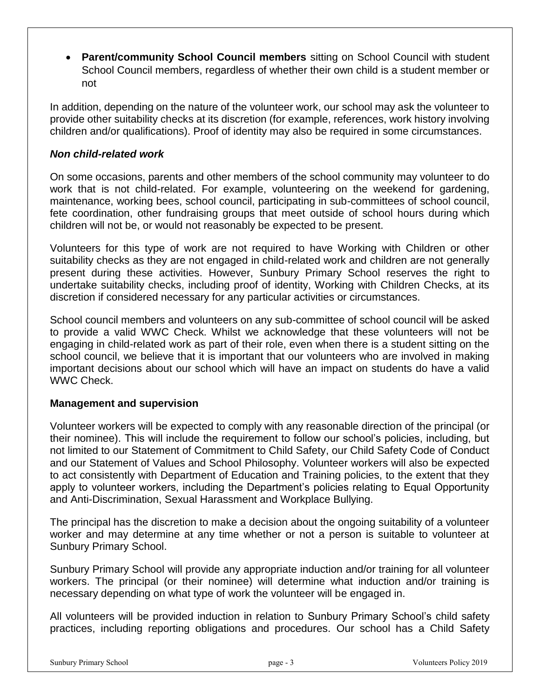**Parent/community School Council members** sitting on School Council with student School Council members, regardless of whether their own child is a student member or not

In addition, depending on the nature of the volunteer work, our school may ask the volunteer to provide other suitability checks at its discretion (for example, references, work history involving children and/or qualifications). Proof of identity may also be required in some circumstances.

#### *Non child-related work*

On some occasions, parents and other members of the school community may volunteer to do work that is not child-related. For example, volunteering on the weekend for gardening, maintenance, working bees, school council, participating in sub-committees of school council, fete coordination, other fundraising groups that meet outside of school hours during which children will not be, or would not reasonably be expected to be present.

Volunteers for this type of work are not required to have Working with Children or other suitability checks as they are not engaged in child-related work and children are not generally present during these activities. However, Sunbury Primary School reserves the right to undertake suitability checks, including proof of identity, Working with Children Checks, at its discretion if considered necessary for any particular activities or circumstances.

School council members and volunteers on any sub-committee of school council will be asked to provide a valid WWC Check. Whilst we acknowledge that these volunteers will not be engaging in child-related work as part of their role, even when there is a student sitting on the school council, we believe that it is important that our volunteers who are involved in making important decisions about our school which will have an impact on students do have a valid WWC Check.

#### **Management and supervision**

Volunteer workers will be expected to comply with any reasonable direction of the principal (or their nominee). This will include the requirement to follow our school's policies, including, but not limited to our Statement of Commitment to Child Safety, our Child Safety Code of Conduct and our Statement of Values and School Philosophy. Volunteer workers will also be expected to act consistently with Department of Education and Training policies, to the extent that they apply to volunteer workers, including the Department's policies relating to Equal Opportunity and Anti-Discrimination, Sexual Harassment and Workplace Bullying.

The principal has the discretion to make a decision about the ongoing suitability of a volunteer worker and may determine at any time whether or not a person is suitable to volunteer at Sunbury Primary School.

Sunbury Primary School will provide any appropriate induction and/or training for all volunteer workers. The principal (or their nominee) will determine what induction and/or training is necessary depending on what type of work the volunteer will be engaged in.

All volunteers will be provided induction in relation to Sunbury Primary School's child safety practices, including reporting obligations and procedures. Our school has a Child Safety